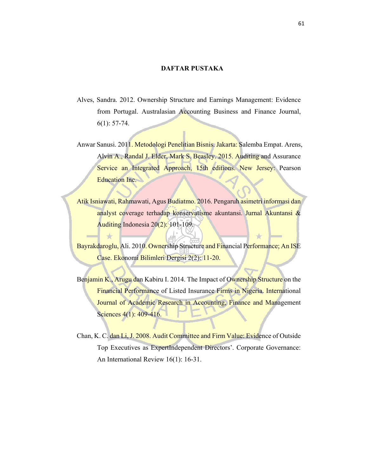## **DAFTAR PUSTAKA**

- Alves, Sandra. 2012. Ownership Structure and Earnings Management: Evidence from Portugal. Australasian Accounting Business and Finance Journal, 6(1): 57-74.
- Anwar Sanusi. 2011. Metodologi Penelitian Bisnis. Jakarta: Salemba Empat. Arens, Alvin A., Randal J. Elder, Mark S. Beasley. 2015. Auditing and Assurance Service an Integrated Approach, 15th editions. New Jersey: Pearson Education Inc.
- Atik Isniawati, Rahmawati, Agus Budiatmo. 2016. Pengaruh asimetri informasi dan analyst coverage terhadap konservatisme akuntansi. Jurnal Akuntansi & Auditing Indonesia 20(2): 101-109.
- Bayrakdaroglu, Ali. 2010. Ownership Structure and Financial Performance; An ISE Case. Ekonomi Bilimleri Dergisi 2(2): 11-20.

 $\rightarrow$ 

 $\rightarrow$ 

- Benjamin K., Arugu dan Kabiru I. 2014. The Impact of Ownership Structure on the Financial Performance of Listed Insurance Firms in Nigeria. International Journal of Academic Research in Accounting, Finance and Management Sciences 4(1): 409-416.
- Chan, K. C. dan Li, J. 2008. Audit Committee and Firm Value: Evidence of Outside Top Executives as ExpertIndependent Directors'. Corporate Governance: An International Review 16(1): 16-31.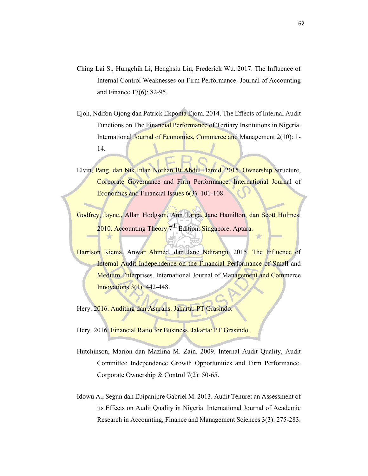- Ching Lai S., Hungchih Li, Henghsiu Lin, Frederick Wu. 2017. The Influence of Internal Control Weaknesses on Firm Performance. Journal of Accounting and Finance 17(6): 82-95.
- Ejoh, Ndifon Ojong dan Patrick Ekponta Ejom. 2014. The Effects of Internal Audit Functions on The Financial Performance of Tertiary Institutions in Nigeria. International Journal of Economics, Commerce and Management 2(10): 1- 14.
- Elvin, Pang. dan Nik Intan Norhan Bt Abdul Hamid. 2015. Ownership Structure, Corporate Governance and Firm Performance. International Journal of Economics and Financial Issues 6(3): 101-108.
- Godfrey, Jayne., Allan Hodgson, Ann Targa, Jane Hamilton, dan Scott Holmes. 2010. Accounting Theory  $7<sup>th</sup>$  Edition. Singapore: Aptara.
- Harrison Kiema, Anwar Ahmed, dan Jane Ndirangu. 2015. The Influence of Internal Audit Independence on the Financial Performance of Small and **Medium Enterprises.** International Journal of Management and Commerce Innovations 3(1): 442-448.

Hery. 2016. Auditing dan Asurans. Jakarta: PT Grasindo.

Hery. 2016. Financial Ratio for Business. Jakarta: PT Grasindo.

- Hutchinson, Marion dan Mazlina M. Zain. 2009. Internal Audit Quality, Audit Committee Independence Growth Opportunities and Firm Performance. Corporate Ownership & Control 7(2): 50-65.
- Idowu A., Segun dan Ebipanipre Gabriel M. 2013. Audit Tenure: an Assessment of its Effects on Audit Quality in Nigeria. International Journal of Academic Research in Accounting, Finance and Management Sciences 3(3): 275-283.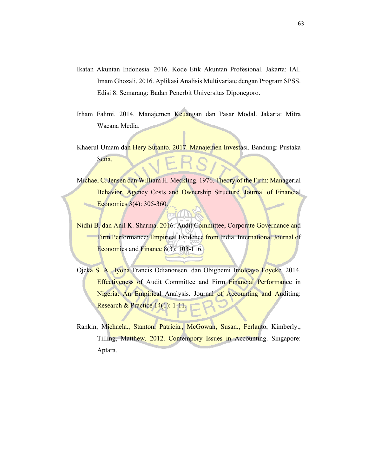- Ikatan Akuntan Indonesia. 2016. Kode Etik Akuntan Profesional. Jakarta: IAI. Imam Ghozali. 2016. Aplikasi Analisis Multivariate dengan Program SPSS. Edisi 8. Semarang: Badan Penerbit Universitas Diponegoro.
- Irham Fahmi. 2014. Manajemen Keuangan dan Pasar Modal. Jakarta: Mitra Wacana Media.
- Khaerul Umam dan Hery Sutanto. 2017. Manajemen Investasi. Bandung: Pustaka Setia.
- Michael C. Jensen dan William H. Meckling. 1976. Theory of the Firm: Managerial Behavior, Agency Costs and Ownership Structure. Journal of Financial Economics 3(4): 305-360.
- Nidhi B. dan Anil K. Sharma. 2016. Audit Committee, Corporate Governance and Firm Performance: Empirical Evidence from India. International Journal of Economics and Finance 8(3): 103-116.
- Ojeka S. A., Iyoha Francis Odianonsen. dan Obigbemi Imoleayo Foyeke. 2014. Effectiveness of Audit Committee and Firm Financial Performance in Nigeria: An Empirical Analysis. Journal of Accounting and Auditing: Research & Practice 14(1): 1-11.
- Rankin, Michaela., Stanton, Patricia., McGowan, Susan., Ferlauto, Kimberly., Tilling, Matthew. 2012. Contempory Issues in Accounting. Singapore: Aptara.